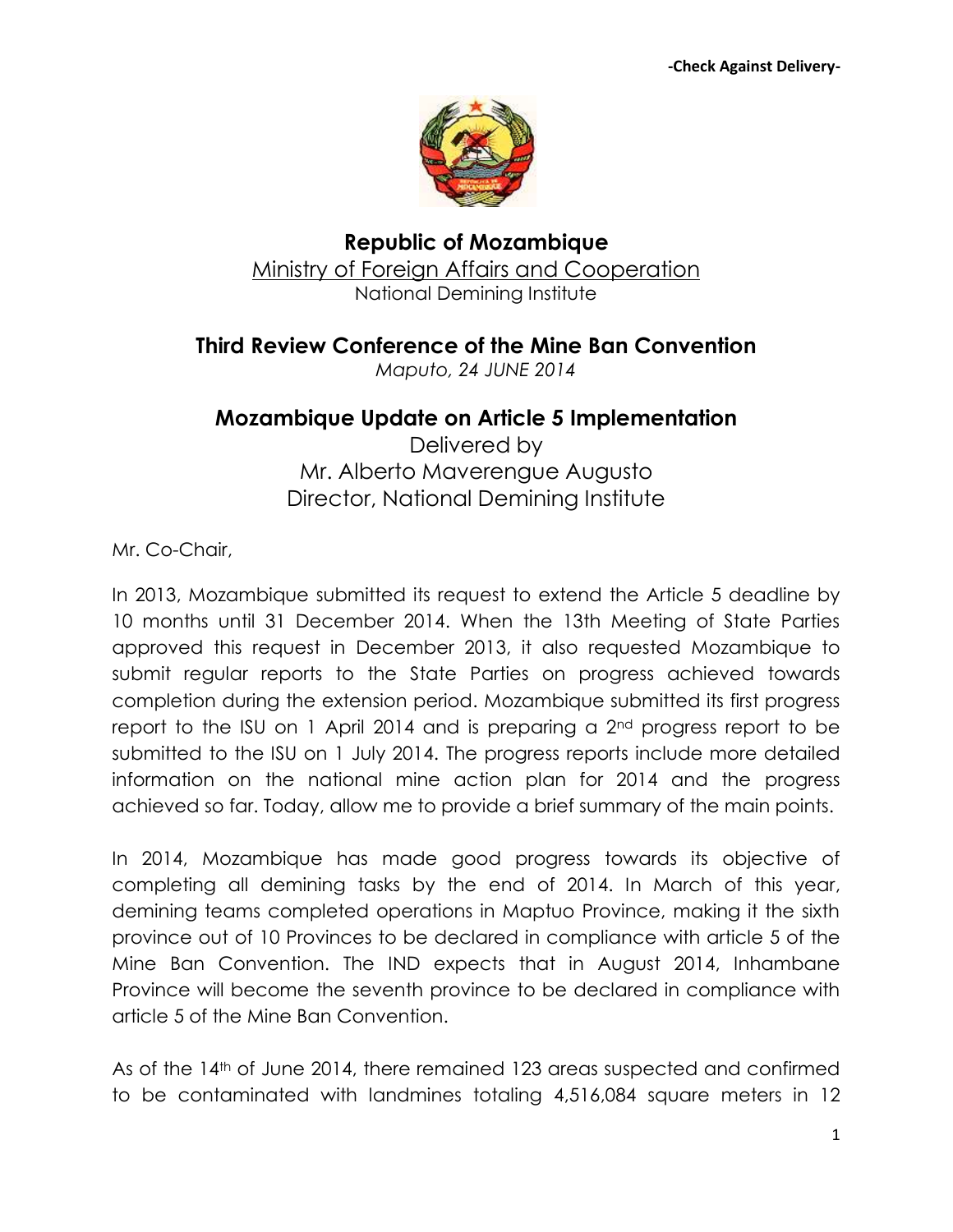

**Republic of Mozambique** Ministry of Foreign Affairs and Cooperation National Demining Institute

**Third Review Conference of the Mine Ban Convention**

*Maputo, 24 JUNE 2014* 

## **Mozambique Update on Article 5 Implementation**

Delivered by Mr. Alberto Maverengue Augusto Director, National Demining Institute

Mr. Co-Chair,

In 2013, Mozambique submitted its request to extend the Article 5 deadline by 10 months until 31 December 2014. When the 13th Meeting of State Parties approved this request in December 2013, it also requested Mozambique to submit regular reports to the State Parties on progress achieved towards completion during the extension period. Mozambique submitted its first progress report to the ISU on 1 April 2014 and is preparing a 2nd progress report to be submitted to the ISU on 1 July 2014. The progress reports include more detailed information on the national mine action plan for 2014 and the progress achieved so far. Today, allow me to provide a brief summary of the main points.

In 2014, Mozambique has made good progress towards its objective of completing all demining tasks by the end of 2014. In March of this year, demining teams completed operations in Maptuo Province, making it the sixth province out of 10 Provinces to be declared in compliance with article 5 of the Mine Ban Convention. The IND expects that in August 2014, Inhambane Province will become the seventh province to be declared in compliance with article 5 of the Mine Ban Convention.

As of the 14<sup>th</sup> of June 2014, there remained 123 areas suspected and confirmed to be contaminated with landmines totaling 4,516,084 square meters in 12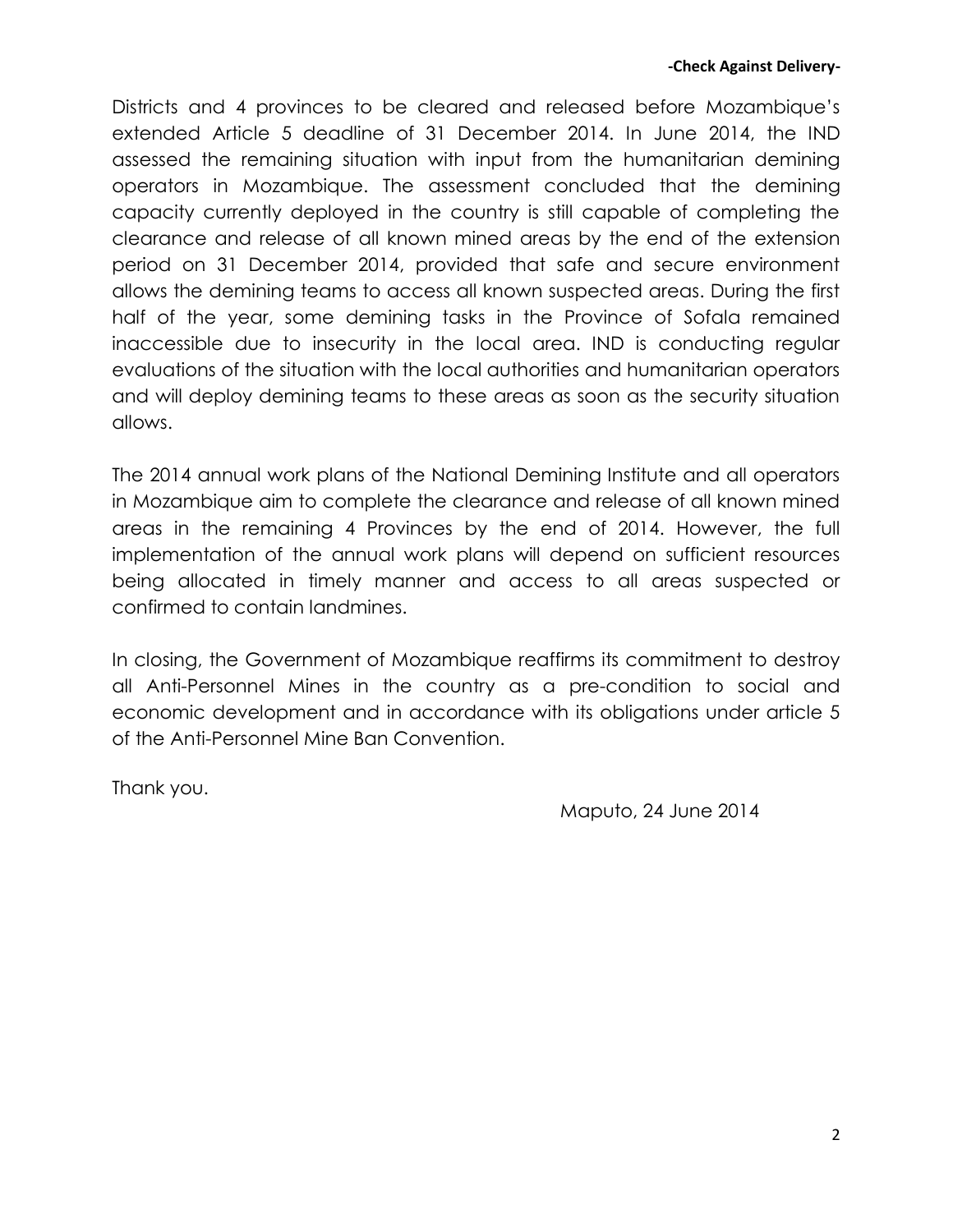Districts and 4 provinces to be cleared and released before Mozambique's extended Article 5 deadline of 31 December 2014. In June 2014, the IND assessed the remaining situation with input from the humanitarian demining operators in Mozambique. The assessment concluded that the demining capacity currently deployed in the country is still capable of completing the clearance and release of all known mined areas by the end of the extension period on 31 December 2014, provided that safe and secure environment allows the demining teams to access all known suspected areas. During the first half of the year, some demining tasks in the Province of Sofala remained inaccessible due to insecurity in the local area. IND is conducting regular evaluations of the situation with the local authorities and humanitarian operators and will deploy demining teams to these areas as soon as the security situation allows.

The 2014 annual work plans of the National Demining Institute and all operators in Mozambique aim to complete the clearance and release of all known mined areas in the remaining 4 Provinces by the end of 2014. However, the full implementation of the annual work plans will depend on sufficient resources being allocated in timely manner and access to all areas suspected or confirmed to contain landmines.

In closing, the Government of Mozambique reaffirms its commitment to destroy all Anti-Personnel Mines in the country as a pre-condition to social and economic development and in accordance with its obligations under article 5 of the Anti-Personnel Mine Ban Convention.

Thank you.

Maputo, 24 June 2014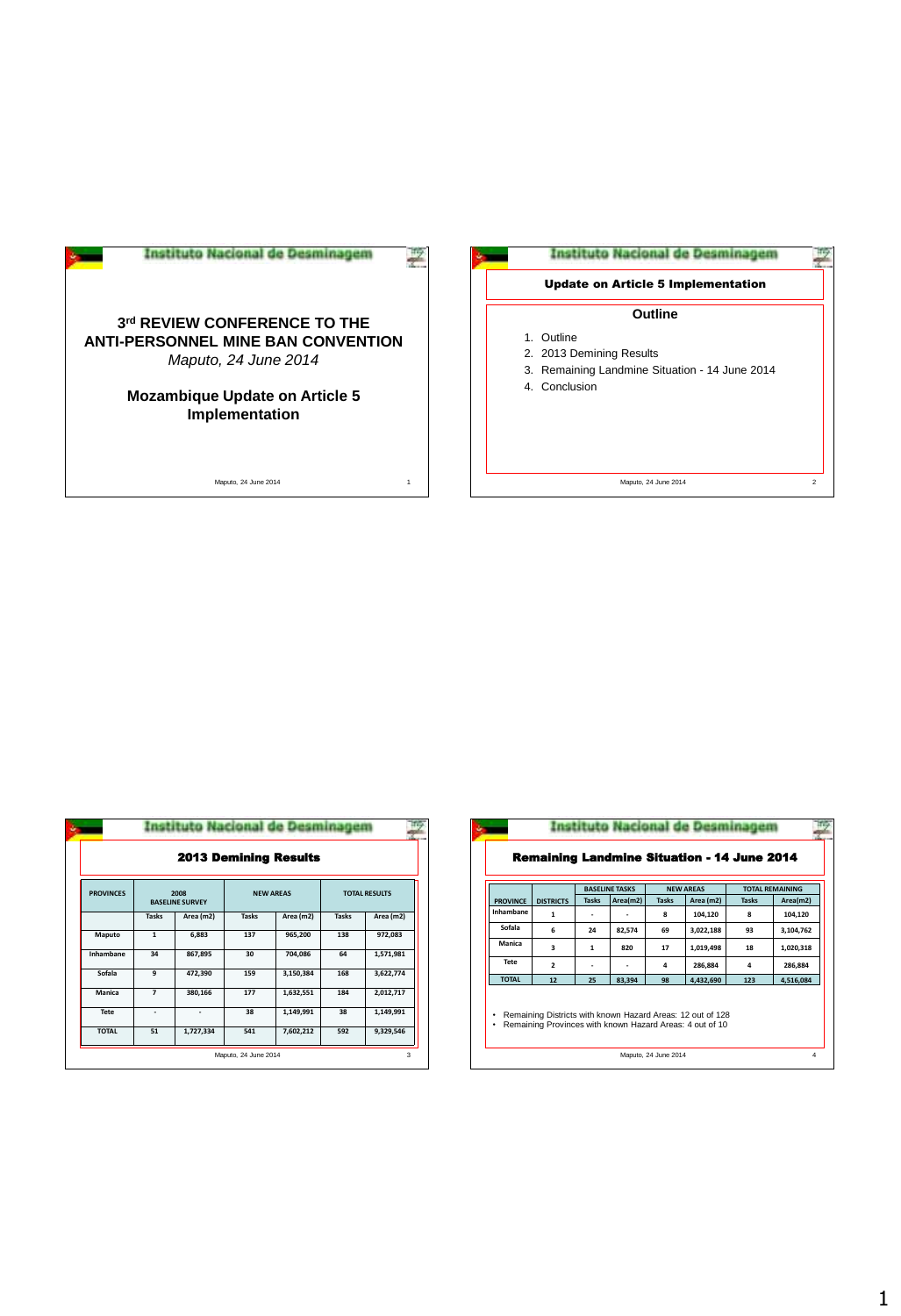| 3rd REVIEW CONFERENCE TO THE<br><b>ANTI-PERSONNEL MINE BAN CONVENTION</b><br>Maputo, 24 June 2014 |  |
|---------------------------------------------------------------------------------------------------|--|
| <b>Mozambique Update on Article 5</b><br>Implementation                                           |  |
|                                                                                                   |  |

Maputo, 24 June 2014 1



| <b>2013 Demining Results</b> |                                |           |              |                  |                      |           |  |
|------------------------------|--------------------------------|-----------|--------------|------------------|----------------------|-----------|--|
| <b>PROVINCES</b>             | 2008<br><b>BASELINE SURVEY</b> |           |              | <b>NEW AREAS</b> | <b>TOTAL RESULTS</b> |           |  |
|                              | <b>Tasks</b>                   | Area (m2) | <b>Tasks</b> | Area (m2)        | <b>Tasks</b>         | Area (m2) |  |
| Maputo                       | $\mathbf{1}$                   | 6,883     | 137          | 965,200          | 138                  | 972,083   |  |
| Inhambane                    | 34                             | 867,895   | 30           | 704,086          | 64                   | 1,571,981 |  |
| Sofala                       | 9                              | 472,390   | 159          | 3,150,384        | 168                  | 3,622,774 |  |
| Manica                       | $\overline{z}$                 | 380,166   | 177          | 1,632,551        | 184                  | 2,012,717 |  |
| Tete                         | ٠                              | ٠         | 38           | 1,149,991        | 38                   | 1,149,991 |  |
| <b>TOTAL</b>                 | 51                             | 1,727,334 | 541          | 7,602,212        | 592                  | 9,329,546 |  |

|                      | <b>GE PRESIDENT</b>                      |              |           |                                                                                                                        |                                                    |              |          |                      | Nacional de Desmina |                        |           |
|----------------------|------------------------------------------|--------------|-----------|------------------------------------------------------------------------------------------------------------------------|----------------------------------------------------|--------------|----------|----------------------|---------------------|------------------------|-----------|
|                      | Demining Results                         |              |           |                                                                                                                        | <b>Remaining Landmine Situation - 14 June 2014</b> |              |          |                      |                     |                        |           |
|                      | <b>NEW AREAS</b><br><b>TOTAL RESULTS</b> |              |           |                                                                                                                        |                                                    |              |          | <b>NEW AREAS</b>     |                     | <b>TOTAL REMAINING</b> |           |
|                      |                                          |              |           | <b>PROVINCE</b>                                                                                                        | <b>DISTRICTS</b>                                   | <b>Tasks</b> | Area(m2) | <b>Tasks</b>         | Area (m2)           | <b>Tasks</b>           | Area(m2)  |
| <b>Tasks</b>         | Area (m2)                                | <b>Tasks</b> | Area (m2) | Inhambane                                                                                                              | $\mathbf{1}$                                       | ٠            |          | 8                    | 104.120             | 8                      | 104,120   |
| 137                  | 965,200                                  | 138          | 972,083   | Sofala                                                                                                                 | 6                                                  | 24           | 82,574   | 69                   | 3,022,188           | 93                     | 3,104,762 |
|                      |                                          |              |           | Manica                                                                                                                 | $\overline{\mathbf{3}}$                            | $\mathbf{1}$ | 820      | 17                   | 1.019.498           | 18                     | 1,020,318 |
| 30                   | 704.086                                  | 64           | 1,571,981 | Tete                                                                                                                   | $\overline{\mathbf{2}}$                            | ٠            | ٠        | 4                    | 286,884             | 4                      | 286,884   |
| 159                  | 3,150,384                                | 168          | 3,622,774 | <b>TOTAL</b>                                                                                                           | 12                                                 | 25           | 83.394   | 98                   | 4,432,690           | 123                    | 4.516.084 |
| 177                  | 1,632,551                                | 184          | 2,012,717 |                                                                                                                        |                                                    |              |          |                      |                     |                        |           |
| 38                   | 1,149,991                                | 38           | 1,149,991 | Remaining Districts with known Hazard Areas: 12 out of 128<br>Remaining Provinces with known Hazard Areas: 4 out of 10 |                                                    |              |          |                      |                     |                        |           |
| 541                  | 7,602,212                                | 592          | 9,329,546 | ٠                                                                                                                      |                                                    |              |          |                      |                     |                        |           |
| Maputo, 24 June 2014 |                                          |              | 3         |                                                                                                                        |                                                    |              |          | Maputo, 24 June 2014 |                     |                        | 4         |